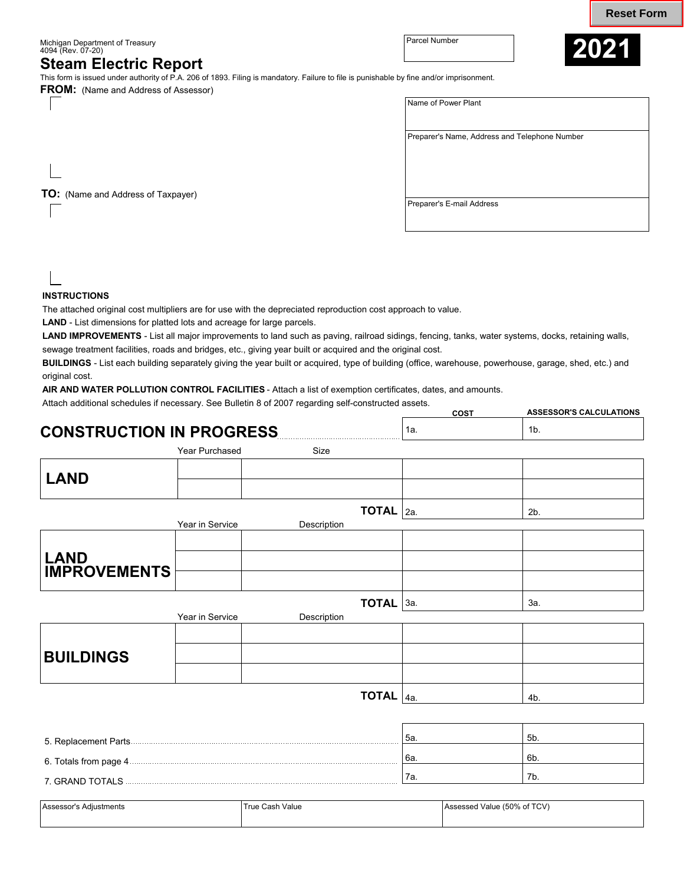**Reset Form**

Michigan Department of Treasury Parcel Number 4094 (Rev. 07-20)

## **Steam Electric Report**

This form is issued under authority of P.A. 206 of 1893. Filing is mandatory. Failure to file is punishable by fine and/or imprisonment.

**FROM:** (Name and Address of Assessor)



| Name of Power Plant                           |
|-----------------------------------------------|
|                                               |
|                                               |
| Preparer's Name, Address and Telephone Number |
|                                               |
|                                               |
|                                               |
|                                               |
|                                               |
| Preparer's E-mail Address                     |
|                                               |

**TO:** (Name and Address of Taxpayer)

## **INSTRUCTIONS**

The attached original cost multipliers are for use with the depreciated reproduction cost approach to value.

**LAND** - List dimensions for platted lots and acreage for large parcels.

**LAND IMPROVEMENTS** - List all major improvements to land such as paving, railroad sidings, fencing, tanks, water systems, docks, retaining walls, sewage treatment facilities, roads and bridges, etc., giving year built or acquired and the original cost.

**BUILDINGS** - List each building separately giving the year built or acquired, type of building (office, warehouse, powerhouse, garage, shed, etc.) and original cost.

**AIR AND WATER POLLUTION CONTROL FACILITIES** - Attach a list of exemption certificates, dates, and amounts.

Attach additional schedules if necessary. See Bulletin 8 of 2007 regarding self-constructed assets.

|                                                                                                                                                                                                                                      |                 |                                      | COST | <b>ASSESSOR'S CALCULATIONS</b> |
|--------------------------------------------------------------------------------------------------------------------------------------------------------------------------------------------------------------------------------------|-----------------|--------------------------------------|------|--------------------------------|
| <b>CONSTRUCTION IN PROGRESS</b>                                                                                                                                                                                                      |                 |                                      | 1a.  | 1 <sub>b</sub>                 |
|                                                                                                                                                                                                                                      | Year Purchased  | Size                                 |      |                                |
| <b>LAND</b>                                                                                                                                                                                                                          |                 |                                      |      |                                |
|                                                                                                                                                                                                                                      |                 |                                      |      |                                |
|                                                                                                                                                                                                                                      | Year in Service | <b>TOTAL</b> $ _{2a}$<br>Description |      | 2 <sub>b</sub>                 |
|                                                                                                                                                                                                                                      |                 |                                      |      |                                |
| <b>LAND<br/>IMPROVEMENTS</b>                                                                                                                                                                                                         |                 |                                      |      |                                |
|                                                                                                                                                                                                                                      |                 |                                      |      |                                |
|                                                                                                                                                                                                                                      |                 | <b>TOTAL</b> $3a$ .                  |      | За.                            |
|                                                                                                                                                                                                                                      | Year in Service | Description                          |      |                                |
|                                                                                                                                                                                                                                      |                 |                                      |      |                                |
| <b>BUILDINGS</b>                                                                                                                                                                                                                     |                 |                                      |      |                                |
|                                                                                                                                                                                                                                      |                 |                                      |      |                                |
|                                                                                                                                                                                                                                      |                 | <b>TOTAL</b> $ _{4a.}$               |      | 4b.                            |
|                                                                                                                                                                                                                                      |                 |                                      |      |                                |
|                                                                                                                                                                                                                                      |                 |                                      | 5а.  | 5b.                            |
|                                                                                                                                                                                                                                      |                 |                                      | 6а.  | 6b.                            |
| 7. GRAND TOTALS <b>And Account Contact Contract Contact Contact Contact Contact Contact Contact Contact Contact Contact Contact Contact Contact Contact Contact Contact Contact Contact Contact Contact Contact Contact Contact </b> |                 |                                      | 7а.  | 7b.                            |

| Assessor<br>Adjustments | True Cash.<br>Value | : (50% of TCV)<br>Value (<br>Assessed<br><u>in the contract of the contract of the contract of the contract of the contract of the contract of the contract of the contract of the contract of the contract of the contract of the contract of the contract of the contra</u> |
|-------------------------|---------------------|-------------------------------------------------------------------------------------------------------------------------------------------------------------------------------------------------------------------------------------------------------------------------------|
|                         |                     |                                                                                                                                                                                                                                                                               |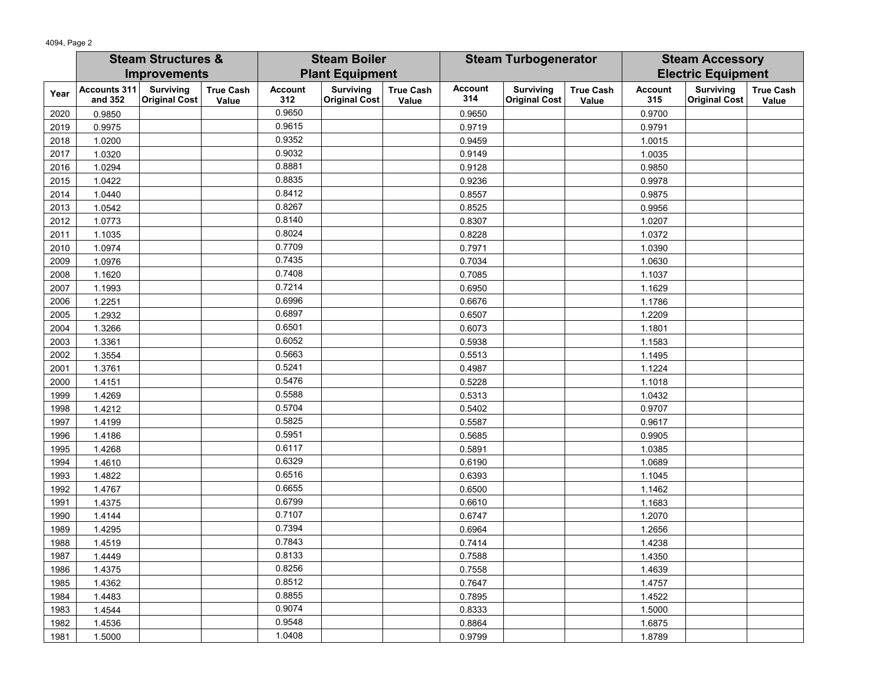|      | <b>Steam Structures &amp;</b>  |                                          | <b>Steam Boiler</b>       |                        | <b>Steam Turbogenerator</b>              |                           |                       | <b>Steam Accessory</b>                   |                           |                       |                                          |                           |
|------|--------------------------------|------------------------------------------|---------------------------|------------------------|------------------------------------------|---------------------------|-----------------------|------------------------------------------|---------------------------|-----------------------|------------------------------------------|---------------------------|
|      | <b>Improvements</b>            |                                          |                           | <b>Plant Equipment</b> |                                          |                           |                       |                                          | <b>Electric Equipment</b> |                       |                                          |                           |
| Year | <b>Accounts 311</b><br>and 352 | <b>Surviving</b><br><b>Original Cost</b> | <b>True Cash</b><br>Value | <b>Account</b><br>312  | <b>Surviving</b><br><b>Original Cost</b> | <b>True Cash</b><br>Value | <b>Account</b><br>314 | <b>Surviving</b><br><b>Original Cost</b> | <b>True Cash</b><br>Value | <b>Account</b><br>315 | <b>Surviving</b><br><b>Original Cost</b> | <b>True Cash</b><br>Value |
| 2020 | 0.9850                         |                                          |                           | 0.9650                 |                                          |                           | 0.9650                |                                          |                           | 0.9700                |                                          |                           |
| 2019 | 0.9975                         |                                          |                           | 0.9615                 |                                          |                           | 0.9719                |                                          |                           | 0.9791                |                                          |                           |
| 2018 | 1.0200                         |                                          |                           | 0.9352                 |                                          |                           | 0.9459                |                                          |                           | 1.0015                |                                          |                           |
| 2017 | 1.0320                         |                                          |                           | 0.9032                 |                                          |                           | 0.9149                |                                          |                           | 1.0035                |                                          |                           |
| 2016 | 1.0294                         |                                          |                           | 0.8881                 |                                          |                           | 0.9128                |                                          |                           | 0.9850                |                                          |                           |
| 2015 | 1.0422                         |                                          |                           | 0.8835                 |                                          |                           | 0.9236                |                                          |                           | 0.9978                |                                          |                           |
| 2014 | 1.0440                         |                                          |                           | 0.8412                 |                                          |                           | 0.8557                |                                          |                           | 0.9875                |                                          |                           |
| 2013 | 1.0542                         |                                          |                           | 0.8267                 |                                          |                           | 0.8525                |                                          |                           | 0.9956                |                                          |                           |
| 2012 | 1.0773                         |                                          |                           | 0.8140                 |                                          |                           | 0.8307                |                                          |                           | 1.0207                |                                          |                           |
| 2011 | 1.1035                         |                                          |                           | 0.8024                 |                                          |                           | 0.8228                |                                          |                           | 1.0372                |                                          |                           |
| 2010 | 1.0974                         |                                          |                           | 0.7709                 |                                          |                           | 0.7971                |                                          |                           | 1.0390                |                                          |                           |
| 2009 | 1.0976                         |                                          |                           | 0.7435                 |                                          |                           | 0.7034                |                                          |                           | 1.0630                |                                          |                           |
| 2008 | 1.1620                         |                                          |                           | 0.7408                 |                                          |                           | 0.7085                |                                          |                           | 1.1037                |                                          |                           |
| 2007 | 1.1993                         |                                          |                           | 0.7214                 |                                          |                           | 0.6950                |                                          |                           | 1.1629                |                                          |                           |
| 2006 | 1.2251                         |                                          |                           | 0.6996                 |                                          |                           | 0.6676                |                                          |                           | 1.1786                |                                          |                           |
| 2005 | 1.2932                         |                                          |                           | 0.6897                 |                                          |                           | 0.6507                |                                          |                           | 1.2209                |                                          |                           |
| 2004 | 1.3266                         |                                          |                           | 0.6501                 |                                          |                           | 0.6073                |                                          |                           | 1.1801                |                                          |                           |
| 2003 | 1.3361                         |                                          |                           | 0.6052                 |                                          |                           | 0.5938                |                                          |                           | 1.1583                |                                          |                           |
| 2002 | 1.3554                         |                                          |                           | 0.5663                 |                                          |                           | 0.5513                |                                          |                           | 1.1495                |                                          |                           |
| 2001 | 1.3761                         |                                          |                           | 0.5241                 |                                          |                           | 0.4987                |                                          |                           | 1.1224                |                                          |                           |
| 2000 | 1.4151                         |                                          |                           | 0.5476                 |                                          |                           | 0.5228                |                                          |                           | 1.1018                |                                          |                           |
| 1999 | 1.4269                         |                                          |                           | 0.5588                 |                                          |                           | 0.5313                |                                          |                           | 1.0432                |                                          |                           |
| 1998 | 1.4212                         |                                          |                           | 0.5704                 |                                          |                           | 0.5402                |                                          |                           | 0.9707                |                                          |                           |
| 1997 | 1.4199                         |                                          |                           | 0.5825                 |                                          |                           | 0.5587                |                                          |                           | 0.9617                |                                          |                           |
| 1996 | 1.4186                         |                                          |                           | 0.5951                 |                                          |                           | 0.5685                |                                          |                           | 0.9905                |                                          |                           |
| 1995 | 1.4268                         |                                          |                           | 0.6117                 |                                          |                           | 0.5891                |                                          |                           | 1.0385                |                                          |                           |
| 1994 | 1.4610                         |                                          |                           | 0.6329                 |                                          |                           | 0.6190                |                                          |                           | 1.0689                |                                          |                           |
| 1993 | 1.4822                         |                                          |                           | 0.6516                 |                                          |                           | 0.6393                |                                          |                           | 1.1045                |                                          |                           |
| 1992 | 1.4767                         |                                          |                           | 0.6655                 |                                          |                           | 0.6500                |                                          |                           | 1.1462                |                                          |                           |
| 1991 | 1.4375                         |                                          |                           | 0.6799                 |                                          |                           | 0.6610                |                                          |                           | 1.1683                |                                          |                           |
| 1990 | 1.4144                         |                                          |                           | 0.7107                 |                                          |                           | 0.6747                |                                          |                           | 1.2070                |                                          |                           |
| 1989 | 1.4295                         |                                          |                           | 0.7394                 |                                          |                           | 0.6964                |                                          |                           | 1.2656                |                                          |                           |
| 1988 | 1.4519                         |                                          |                           | 0.7843                 |                                          |                           | 0.7414                |                                          |                           | 1.4238                |                                          |                           |
| 1987 | 1.4449                         |                                          |                           | 0.8133                 |                                          |                           | 0.7588                |                                          |                           | 1.4350                |                                          |                           |
| 1986 | 1.4375                         |                                          |                           | 0.8256                 |                                          |                           | 0.7558                |                                          |                           | 1.4639                |                                          |                           |
| 1985 | 1.4362                         |                                          |                           | 0.8512                 |                                          |                           | 0.7647                |                                          |                           | 1.4757                |                                          |                           |
| 1984 | 1.4483                         |                                          |                           | 0.8855                 |                                          |                           | 0.7895                |                                          |                           | 1.4522                |                                          |                           |
| 1983 | 1.4544                         |                                          |                           | 0.9074                 |                                          |                           | 0.8333                |                                          |                           | 1.5000                |                                          |                           |
| 1982 | 1.4536                         |                                          |                           | 0.9548                 |                                          |                           | 0.8864                |                                          |                           | 1.6875                |                                          |                           |
| 1981 | 1.5000                         |                                          |                           | 1.0408                 |                                          |                           | 0.9799                |                                          |                           | 1.8789                |                                          |                           |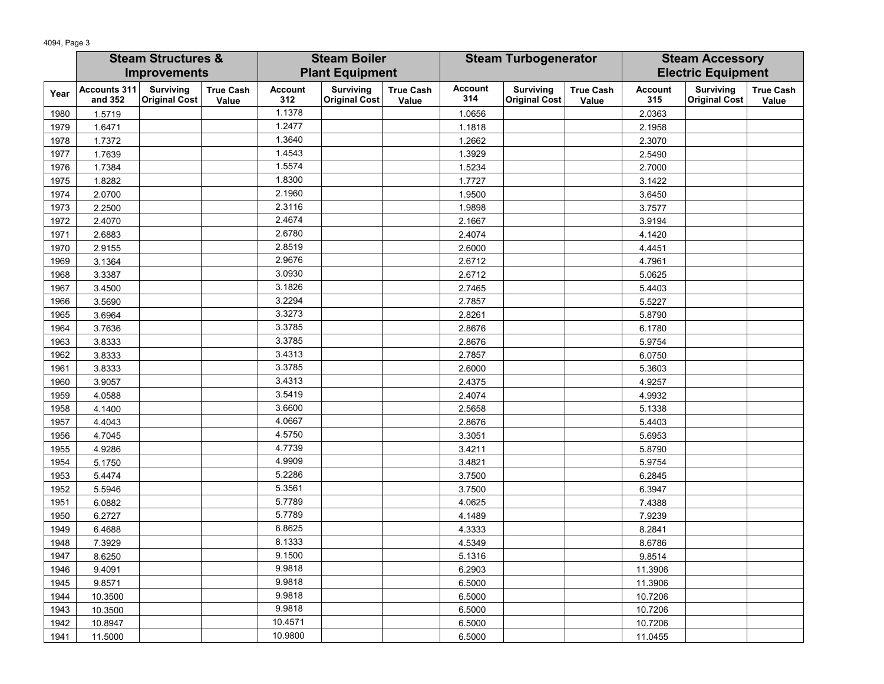|      | <b>Steam Structures &amp;</b>  |                                          | <b>Steam Boiler</b>       |                        | <b>Steam Turbogenerator</b>              |                           |                       | <b>Steam Accessory</b>                   |                           |                       |                                          |                           |
|------|--------------------------------|------------------------------------------|---------------------------|------------------------|------------------------------------------|---------------------------|-----------------------|------------------------------------------|---------------------------|-----------------------|------------------------------------------|---------------------------|
|      | <b>Improvements</b>            |                                          |                           | <b>Plant Equipment</b> |                                          |                           |                       |                                          | <b>Electric Equipment</b> |                       |                                          |                           |
| Year | <b>Accounts 311</b><br>and 352 | <b>Surviving</b><br><b>Original Cost</b> | <b>True Cash</b><br>Value | <b>Account</b><br>312  | <b>Surviving</b><br><b>Original Cost</b> | <b>True Cash</b><br>Value | <b>Account</b><br>314 | <b>Surviving</b><br><b>Original Cost</b> | <b>True Cash</b><br>Value | <b>Account</b><br>315 | <b>Surviving</b><br><b>Original Cost</b> | <b>True Cash</b><br>Value |
| 1980 | 1.5719                         |                                          |                           | 1.1378                 |                                          |                           | 1.0656                |                                          |                           | 2.0363                |                                          |                           |
| 1979 | 1.6471                         |                                          |                           | 1.2477                 |                                          |                           | 1.1818                |                                          |                           | 2.1958                |                                          |                           |
| 1978 | 1.7372                         |                                          |                           | 1.3640                 |                                          |                           | 1.2662                |                                          |                           | 2.3070                |                                          |                           |
| 1977 | 1.7639                         |                                          |                           | 1.4543                 |                                          |                           | 1.3929                |                                          |                           | 2.5490                |                                          |                           |
| 1976 | 1.7384                         |                                          |                           | 1.5574                 |                                          |                           | 1.5234                |                                          |                           | 2.7000                |                                          |                           |
| 1975 | 1.8282                         |                                          |                           | 1.8300                 |                                          |                           | 1.7727                |                                          |                           | 3.1422                |                                          |                           |
| 1974 | 2.0700                         |                                          |                           | 2.1960                 |                                          |                           | 1.9500                |                                          |                           | 3.6450                |                                          |                           |
| 1973 | 2.2500                         |                                          |                           | 2.3116                 |                                          |                           | 1.9898                |                                          |                           | 3.7577                |                                          |                           |
| 1972 | 2.4070                         |                                          |                           | 2.4674                 |                                          |                           | 2.1667                |                                          |                           | 3.9194                |                                          |                           |
| 1971 | 2.6883                         |                                          |                           | 2.6780                 |                                          |                           | 2.4074                |                                          |                           | 4.1420                |                                          |                           |
| 1970 | 2.9155                         |                                          |                           | 2.8519                 |                                          |                           | 2.6000                |                                          |                           | 4.4451                |                                          |                           |
| 1969 | 3.1364                         |                                          |                           | 2.9676                 |                                          |                           | 2.6712                |                                          |                           | 4.7961                |                                          |                           |
| 1968 | 3.3387                         |                                          |                           | 3.0930                 |                                          |                           | 2.6712                |                                          |                           | 5.0625                |                                          |                           |
| 1967 | 3.4500                         |                                          |                           | 3.1826                 |                                          |                           | 2.7465                |                                          |                           | 5.4403                |                                          |                           |
| 1966 | 3.5690                         |                                          |                           | 3.2294                 |                                          |                           | 2.7857                |                                          |                           | 5.5227                |                                          |                           |
| 1965 | 3.6964                         |                                          |                           | 3.3273                 |                                          |                           | 2.8261                |                                          |                           | 5.8790                |                                          |                           |
| 1964 | 3.7636                         |                                          |                           | 3.3785                 |                                          |                           | 2.8676                |                                          |                           | 6.1780                |                                          |                           |
| 1963 | 3.8333                         |                                          |                           | 3.3785                 |                                          |                           | 2.8676                |                                          |                           | 5.9754                |                                          |                           |
| 1962 | 3.8333                         |                                          |                           | 3.4313                 |                                          |                           | 2.7857                |                                          |                           | 6.0750                |                                          |                           |
| 1961 | 3.8333                         |                                          |                           | 3.3785                 |                                          |                           | 2.6000                |                                          |                           | 5.3603                |                                          |                           |
| 1960 | 3.9057                         |                                          |                           | 3.4313                 |                                          |                           | 2.4375                |                                          |                           | 4.9257                |                                          |                           |
| 1959 | 4.0588                         |                                          |                           | 3.5419                 |                                          |                           | 2.4074                |                                          |                           | 4.9932                |                                          |                           |
| 1958 | 4.1400                         |                                          |                           | 3.6600                 |                                          |                           | 2.5658                |                                          |                           | 5.1338                |                                          |                           |
| 1957 | 4.4043                         |                                          |                           | 4.0667                 |                                          |                           | 2.8676                |                                          |                           | 5.4403                |                                          |                           |
| 1956 | 4.7045                         |                                          |                           | 4.5750                 |                                          |                           | 3.3051                |                                          |                           | 5.6953                |                                          |                           |
| 1955 | 4.9286                         |                                          |                           | 4.7739                 |                                          |                           | 3.4211                |                                          |                           | 5.8790                |                                          |                           |
| 1954 | 5.1750                         |                                          |                           | 4.9909                 |                                          |                           | 3.4821                |                                          |                           | 5.9754                |                                          |                           |
| 1953 | 5.4474                         |                                          |                           | 5.2286                 |                                          |                           | 3.7500                |                                          |                           | 6.2845                |                                          |                           |
| 1952 | 5.5946                         |                                          |                           | 5.3561                 |                                          |                           | 3.7500                |                                          |                           | 6.3947                |                                          |                           |
| 1951 | 6.0882                         |                                          |                           | 5.7789                 |                                          |                           | 4.0625                |                                          |                           | 7.4388                |                                          |                           |
| 1950 | 6.2727                         |                                          |                           | 5.7789                 |                                          |                           | 4.1489                |                                          |                           | 7.9239                |                                          |                           |
| 1949 | 6.4688                         |                                          |                           | 6.8625                 |                                          |                           | 4.3333                |                                          |                           | 8.2841                |                                          |                           |
| 1948 | 7.3929                         |                                          |                           | 8.1333                 |                                          |                           | 4.5349                |                                          |                           | 8.6786                |                                          |                           |
| 1947 | 8.6250                         |                                          |                           | 9.1500                 |                                          |                           | 5.1316                |                                          |                           | 9.8514                |                                          |                           |
| 1946 | 9.4091                         |                                          |                           | 9.9818                 |                                          |                           | 6.2903                |                                          |                           | 11.3906               |                                          |                           |
| 1945 | 9.8571                         |                                          |                           | 9.9818                 |                                          |                           | 6.5000                |                                          |                           | 11.3906               |                                          |                           |
| 1944 | 10.3500                        |                                          |                           | 9.9818                 |                                          |                           | 6.5000                |                                          |                           | 10.7206               |                                          |                           |
| 1943 | 10.3500                        |                                          |                           | 9.9818                 |                                          |                           | 6.5000                |                                          |                           | 10.7206               |                                          |                           |
| 1942 | 10.8947                        |                                          |                           | 10.4571                |                                          |                           | 6.5000                |                                          |                           | 10.7206               |                                          |                           |
| 1941 | 11.5000                        |                                          |                           | 10.9800                |                                          |                           | 6.5000                |                                          |                           | 11.0455               |                                          |                           |